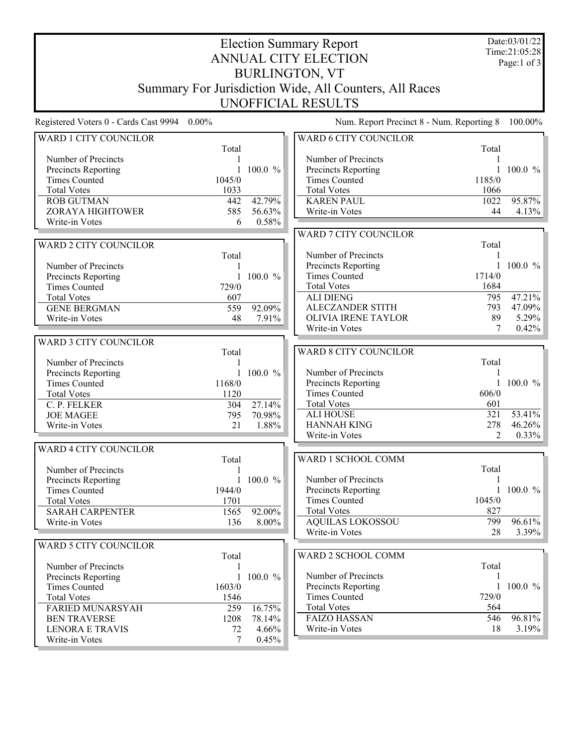Date:03/01/22 Time:21:05:28 Page:1 of 3

## Election Summary Report ANNUAL CITY ELECTION BURLINGTON, VT Summary For Jurisdiction Wide, All Counters, All Races UNOFFICIAL RESULTS

Registered Voters 0 - Cards Cast 9994 0.00% Num. Report Precinct 8 - Num. Reporting 8 100.00%

| WARD 1 CITY COUNCILOR                         |        |              | WARD 6 CITY COUNCILOR        |        |                      |
|-----------------------------------------------|--------|--------------|------------------------------|--------|----------------------|
|                                               | Total  |              |                              | Total  |                      |
| Number of Precincts                           |        |              | Number of Precincts          |        |                      |
| Precincts Reporting                           |        | 1 100.0 $%$  | Precincts Reporting          |        | 1 100.0 $\%$         |
| <b>Times Counted</b>                          | 1045/0 |              | <b>Times Counted</b>         | 1185/0 |                      |
| <b>Total Votes</b>                            | 1033   |              | <b>Total Votes</b>           | 1066   |                      |
| <b>ROB GUTMAN</b>                             | 442    | 42.79%       | <b>KAREN PAUL</b>            | 1022   | 95.87%               |
| ZORAYA HIGHTOWER                              | 585    | 56.63%       | Write-in Votes               | 44     | 4.13%                |
| Write-in Votes                                | 6      | 0.58%        |                              |        |                      |
|                                               |        |              | <b>WARD 7 CITY COUNCILOR</b> |        |                      |
| <b>WARD 2 CITY COUNCILOR</b>                  |        |              |                              | Total  |                      |
|                                               | Total  |              | Number of Precincts          |        |                      |
| Number of Precincts                           |        |              | <b>Precincts Reporting</b>   |        | 1 100.0 $\%$         |
| Precincts Reporting                           |        | 1 100.0 $\%$ | <b>Times Counted</b>         | 1714/0 |                      |
| <b>Times Counted</b>                          | 729/0  |              | <b>Total Votes</b>           | 1684   |                      |
| <b>Total Votes</b>                            | 607    |              | <b>ALI DIENG</b>             | 795    | 47.21%               |
| <b>GENE BERGMAN</b>                           |        | 92.09%       | <b>ALECZANDER STITH</b>      | 793    | 47.09%               |
|                                               | 559    |              | <b>OLIVIA IRENE TAYLOR</b>   | 89     | 5.29%                |
| Write-in Votes                                | 48     | 7.91%        | Write-in Votes               | 7      | 0.42%                |
|                                               |        |              |                              |        |                      |
| <b>WARD 3 CITY COUNCILOR</b>                  |        |              |                              |        |                      |
|                                               | Total  |              | <b>WARD 8 CITY COUNCILOR</b> |        |                      |
| Number of Precincts                           |        |              |                              | Total  |                      |
| <b>Precincts Reporting</b>                    |        | 1 100.0 $%$  | Number of Precincts          |        |                      |
| <b>Times Counted</b>                          | 1168/0 |              | Precincts Reporting          |        | $100.0 \%$           |
| <b>Total Votes</b>                            | 1120   |              | <b>Times Counted</b>         | 606/0  |                      |
| C. P. FELKER                                  | 304    | 27.14%       | <b>Total Votes</b>           | 601    |                      |
| <b>JOE MAGEE</b>                              | 795    | 70.98%       | <b>ALI HOUSE</b>             | 321    | $\overline{53.41\%}$ |
| Write-in Votes                                | 21     | 1.88%        | <b>HANNAH KING</b>           | 278    | 46.26%               |
|                                               |        |              | Write-in Votes               | 2      | 0.33%                |
| <b>WARD 4 CITY COUNCILOR</b>                  |        |              |                              |        |                      |
|                                               | Total  |              | WARD 1 SCHOOL COMM           |        |                      |
| Number of Precincts                           |        |              |                              | Total  |                      |
| Precincts Reporting                           |        | 1 100.0 $\%$ | Number of Precincts          |        |                      |
| <b>Times Counted</b>                          | 1944/0 |              | Precincts Reporting          |        | 1 100.0 $%$          |
| <b>Total Votes</b>                            | 1701   |              | <b>Times Counted</b>         | 1045/0 |                      |
| <b>SARAH CARPENTER</b>                        | 1565   | $92.00\%$    | <b>Total Votes</b>           | 827    |                      |
| Write-in Votes                                | 136    | 8.00%        | <b>AQUILAS LOKOSSOU</b>      | 799    | 96.61%               |
|                                               |        |              | Write-in Votes               | 28     | 3.39%                |
| WARD 5 CITY COUNCILOR                         |        |              |                              |        |                      |
|                                               | Total  |              | WARD 2 SCHOOL COMM           |        |                      |
| Number of Precincts                           |        |              |                              | Total  |                      |
| <b>Precincts Reporting</b>                    |        | 1 100.0 $%$  | Number of Precincts          |        |                      |
| <b>Times Counted</b>                          | 1603/0 |              | Precincts Reporting          |        | 1 100.0 $\%$         |
|                                               |        |              | <b>Times Counted</b>         | 729/0  |                      |
| <b>Total Votes</b><br><b>FARIED MUNARSYAH</b> | 1546   | 16.75%       | <b>Total Votes</b>           | 564    |                      |
|                                               | 259    |              | <b>FAIZO HASSAN</b>          | 546    | 96.81%               |
| <b>BEN TRAVERSE</b>                           | 1208   | 78.14%       |                              |        |                      |
| <b>LENORA E TRAVIS</b>                        | 72     | 4.66%        | Write-in Votes               | 18     | 3.19%                |
| Write-in Votes                                | 7      | 0.45%        |                              |        |                      |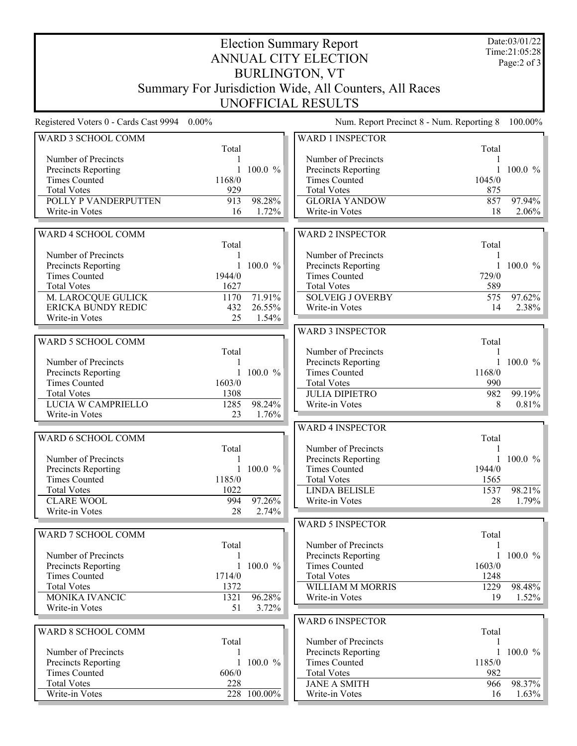Date:03/01/22 Time:21:05:28 Page:2 of 3

## Election Summary Report ANNUAL CITY ELECTION BURLINGTON, VT Summary For Jurisdiction Wide, All Counters, All Races UNOFFICIAL RESULTS

Registered Voters 0 - Cards Cast 9994 0.00% Num. Report Precinct 8 - Num. Reporting 8 100.00%

| Total<br>Total<br>Number of Precincts<br>Number of Precincts<br>$100.0 \%$<br>$\mathbf{1}$<br>$100.0 \%$<br>Precincts Reporting<br>$\mathbf{1}$<br><b>Precincts Reporting</b><br><b>Times Counted</b><br>1168/0<br><b>Times Counted</b><br>1045/0<br>929<br><b>Total Votes</b><br><b>Total Votes</b><br>875<br>98.28%<br>POLLY P VANDERPUTTEN<br>913<br><b>GLORIA YANDOW</b><br>857<br>97.94%<br>Write-in Votes<br>1.72%<br>Write-in Votes<br>18<br>2.06%<br>16<br>WARD 4 SCHOOL COMM<br><b>WARD 2 INSPECTOR</b><br>Total<br>Total<br>Number of Precincts<br>Number of Precincts<br>1<br>Precincts Reporting<br>1 100.0 $\%$<br>$100.0 \%$<br>Precincts Reporting<br>$\mathbf{1}$<br><b>Times Counted</b><br>1944/0<br><b>Times Counted</b><br>729/0<br><b>Total Votes</b><br><b>Total Votes</b><br>1627<br>589<br>M. LAROCQUE GULICK<br>71.91%<br><b>SOLVEIG J OVERBY</b><br>97.62%<br>1170<br>575<br>ERICKA BUNDY REDIC<br>26.55%<br>2.38%<br>432<br>Write-in Votes<br>14<br>25<br>Write-in Votes<br>1.54%<br><b>WARD 3 INSPECTOR</b><br>WARD 5 SCHOOL COMM<br>Total<br>Number of Precincts<br>Total<br>Number of Precincts<br>$100.0 \%$<br>Precincts Reporting<br>$\mathbf{1}$<br>1168/0<br>1 100.0 $%$<br><b>Times Counted</b><br>Precincts Reporting<br><b>Times Counted</b><br>1603/0<br><b>Total Votes</b><br>990<br><b>Total Votes</b><br>1308<br><b>JULIA DIPIETRO</b><br>99.19%<br>982<br>LUCIA W CAMPRIELLO<br>98.24%<br>1285<br>8<br>0.81%<br>Write-in Votes<br>Write-in Votes<br>23<br>1.76%<br><b>WARD 4 INSPECTOR</b><br>WARD 6 SCHOOL COMM<br>Total<br>Number of Precincts<br>Total<br>Number of Precincts<br>Precincts Reporting<br>$100.0 \%$<br>1<br>Precincts Reporting<br>1 100.0 $%$<br><b>Times Counted</b><br>1944/0<br><b>Times Counted</b><br>1185/0<br><b>Total Votes</b><br>1565<br>98.21%<br><b>Total Votes</b><br>1022<br><b>LINDA BELISLE</b><br>1537<br><b>CLARE WOOL</b><br>994<br>97.26%<br>1.79%<br>Write-in Votes<br>28<br>Write-in Votes<br>28<br>2.74%<br><b>WARD 5 INSPECTOR</b><br>WARD 7 SCHOOL COMM<br>Total<br>Number of Precincts<br>Total<br>1<br>Number of Precincts<br>1 100.0 $%$<br>Precincts Reporting<br>$\mathbf{I}$<br>Precincts Reporting<br>1 100.0 $\%$<br><b>Times Counted</b><br>1603/0<br><b>Times Counted</b><br>1714/0<br><b>Total Votes</b><br>1248<br><b>Total Votes</b><br>1372<br>98.48%<br>WILLIAM M MORRIS<br>1229<br>96.28%<br>MONIKA IVANCIC<br>1.52%<br>1321<br>Write-in Votes<br>19<br>Write-in Votes<br>51<br>3.72%<br><b>WARD 6 INSPECTOR</b><br>WARD 8 SCHOOL COMM<br>Total<br>Total<br>Number of Precincts<br>Number of Precincts<br><b>Precincts Reporting</b><br>$100.0 \%$<br>1<br>Precincts Reporting<br>1 100.0 $%$<br><b>Times Counted</b><br>1185/0<br>982<br><b>Times Counted</b><br>606/0<br><b>Total Votes</b><br><b>Total Votes</b><br>228<br><b>JANE A SMITH</b><br>98.37%<br>966<br>228 100.00%<br>Write-in Votes<br>Write-in Votes<br>1.63%<br>16 | WARD 3 SCHOOL COMM |  | <b>WARD 1 INSPECTOR</b> |  |
|---------------------------------------------------------------------------------------------------------------------------------------------------------------------------------------------------------------------------------------------------------------------------------------------------------------------------------------------------------------------------------------------------------------------------------------------------------------------------------------------------------------------------------------------------------------------------------------------------------------------------------------------------------------------------------------------------------------------------------------------------------------------------------------------------------------------------------------------------------------------------------------------------------------------------------------------------------------------------------------------------------------------------------------------------------------------------------------------------------------------------------------------------------------------------------------------------------------------------------------------------------------------------------------------------------------------------------------------------------------------------------------------------------------------------------------------------------------------------------------------------------------------------------------------------------------------------------------------------------------------------------------------------------------------------------------------------------------------------------------------------------------------------------------------------------------------------------------------------------------------------------------------------------------------------------------------------------------------------------------------------------------------------------------------------------------------------------------------------------------------------------------------------------------------------------------------------------------------------------------------------------------------------------------------------------------------------------------------------------------------------------------------------------------------------------------------------------------------------------------------------------------------------------------------------------------------------------------------------------------------------------------------------------------------------------------------------------------------------------------------------------------------------------------------------------------------------------------------------------------------------------------------------------------------------------------------|--------------------|--|-------------------------|--|
|                                                                                                                                                                                                                                                                                                                                                                                                                                                                                                                                                                                                                                                                                                                                                                                                                                                                                                                                                                                                                                                                                                                                                                                                                                                                                                                                                                                                                                                                                                                                                                                                                                                                                                                                                                                                                                                                                                                                                                                                                                                                                                                                                                                                                                                                                                                                                                                                                                                                                                                                                                                                                                                                                                                                                                                                                                                                                                                                             |                    |  |                         |  |
|                                                                                                                                                                                                                                                                                                                                                                                                                                                                                                                                                                                                                                                                                                                                                                                                                                                                                                                                                                                                                                                                                                                                                                                                                                                                                                                                                                                                                                                                                                                                                                                                                                                                                                                                                                                                                                                                                                                                                                                                                                                                                                                                                                                                                                                                                                                                                                                                                                                                                                                                                                                                                                                                                                                                                                                                                                                                                                                                             |                    |  |                         |  |
|                                                                                                                                                                                                                                                                                                                                                                                                                                                                                                                                                                                                                                                                                                                                                                                                                                                                                                                                                                                                                                                                                                                                                                                                                                                                                                                                                                                                                                                                                                                                                                                                                                                                                                                                                                                                                                                                                                                                                                                                                                                                                                                                                                                                                                                                                                                                                                                                                                                                                                                                                                                                                                                                                                                                                                                                                                                                                                                                             |                    |  |                         |  |
|                                                                                                                                                                                                                                                                                                                                                                                                                                                                                                                                                                                                                                                                                                                                                                                                                                                                                                                                                                                                                                                                                                                                                                                                                                                                                                                                                                                                                                                                                                                                                                                                                                                                                                                                                                                                                                                                                                                                                                                                                                                                                                                                                                                                                                                                                                                                                                                                                                                                                                                                                                                                                                                                                                                                                                                                                                                                                                                                             |                    |  |                         |  |
|                                                                                                                                                                                                                                                                                                                                                                                                                                                                                                                                                                                                                                                                                                                                                                                                                                                                                                                                                                                                                                                                                                                                                                                                                                                                                                                                                                                                                                                                                                                                                                                                                                                                                                                                                                                                                                                                                                                                                                                                                                                                                                                                                                                                                                                                                                                                                                                                                                                                                                                                                                                                                                                                                                                                                                                                                                                                                                                                             |                    |  |                         |  |
|                                                                                                                                                                                                                                                                                                                                                                                                                                                                                                                                                                                                                                                                                                                                                                                                                                                                                                                                                                                                                                                                                                                                                                                                                                                                                                                                                                                                                                                                                                                                                                                                                                                                                                                                                                                                                                                                                                                                                                                                                                                                                                                                                                                                                                                                                                                                                                                                                                                                                                                                                                                                                                                                                                                                                                                                                                                                                                                                             |                    |  |                         |  |
|                                                                                                                                                                                                                                                                                                                                                                                                                                                                                                                                                                                                                                                                                                                                                                                                                                                                                                                                                                                                                                                                                                                                                                                                                                                                                                                                                                                                                                                                                                                                                                                                                                                                                                                                                                                                                                                                                                                                                                                                                                                                                                                                                                                                                                                                                                                                                                                                                                                                                                                                                                                                                                                                                                                                                                                                                                                                                                                                             |                    |  |                         |  |
|                                                                                                                                                                                                                                                                                                                                                                                                                                                                                                                                                                                                                                                                                                                                                                                                                                                                                                                                                                                                                                                                                                                                                                                                                                                                                                                                                                                                                                                                                                                                                                                                                                                                                                                                                                                                                                                                                                                                                                                                                                                                                                                                                                                                                                                                                                                                                                                                                                                                                                                                                                                                                                                                                                                                                                                                                                                                                                                                             |                    |  |                         |  |
|                                                                                                                                                                                                                                                                                                                                                                                                                                                                                                                                                                                                                                                                                                                                                                                                                                                                                                                                                                                                                                                                                                                                                                                                                                                                                                                                                                                                                                                                                                                                                                                                                                                                                                                                                                                                                                                                                                                                                                                                                                                                                                                                                                                                                                                                                                                                                                                                                                                                                                                                                                                                                                                                                                                                                                                                                                                                                                                                             |                    |  |                         |  |
|                                                                                                                                                                                                                                                                                                                                                                                                                                                                                                                                                                                                                                                                                                                                                                                                                                                                                                                                                                                                                                                                                                                                                                                                                                                                                                                                                                                                                                                                                                                                                                                                                                                                                                                                                                                                                                                                                                                                                                                                                                                                                                                                                                                                                                                                                                                                                                                                                                                                                                                                                                                                                                                                                                                                                                                                                                                                                                                                             |                    |  |                         |  |
|                                                                                                                                                                                                                                                                                                                                                                                                                                                                                                                                                                                                                                                                                                                                                                                                                                                                                                                                                                                                                                                                                                                                                                                                                                                                                                                                                                                                                                                                                                                                                                                                                                                                                                                                                                                                                                                                                                                                                                                                                                                                                                                                                                                                                                                                                                                                                                                                                                                                                                                                                                                                                                                                                                                                                                                                                                                                                                                                             |                    |  |                         |  |
|                                                                                                                                                                                                                                                                                                                                                                                                                                                                                                                                                                                                                                                                                                                                                                                                                                                                                                                                                                                                                                                                                                                                                                                                                                                                                                                                                                                                                                                                                                                                                                                                                                                                                                                                                                                                                                                                                                                                                                                                                                                                                                                                                                                                                                                                                                                                                                                                                                                                                                                                                                                                                                                                                                                                                                                                                                                                                                                                             |                    |  |                         |  |
|                                                                                                                                                                                                                                                                                                                                                                                                                                                                                                                                                                                                                                                                                                                                                                                                                                                                                                                                                                                                                                                                                                                                                                                                                                                                                                                                                                                                                                                                                                                                                                                                                                                                                                                                                                                                                                                                                                                                                                                                                                                                                                                                                                                                                                                                                                                                                                                                                                                                                                                                                                                                                                                                                                                                                                                                                                                                                                                                             |                    |  |                         |  |
|                                                                                                                                                                                                                                                                                                                                                                                                                                                                                                                                                                                                                                                                                                                                                                                                                                                                                                                                                                                                                                                                                                                                                                                                                                                                                                                                                                                                                                                                                                                                                                                                                                                                                                                                                                                                                                                                                                                                                                                                                                                                                                                                                                                                                                                                                                                                                                                                                                                                                                                                                                                                                                                                                                                                                                                                                                                                                                                                             |                    |  |                         |  |
|                                                                                                                                                                                                                                                                                                                                                                                                                                                                                                                                                                                                                                                                                                                                                                                                                                                                                                                                                                                                                                                                                                                                                                                                                                                                                                                                                                                                                                                                                                                                                                                                                                                                                                                                                                                                                                                                                                                                                                                                                                                                                                                                                                                                                                                                                                                                                                                                                                                                                                                                                                                                                                                                                                                                                                                                                                                                                                                                             |                    |  |                         |  |
|                                                                                                                                                                                                                                                                                                                                                                                                                                                                                                                                                                                                                                                                                                                                                                                                                                                                                                                                                                                                                                                                                                                                                                                                                                                                                                                                                                                                                                                                                                                                                                                                                                                                                                                                                                                                                                                                                                                                                                                                                                                                                                                                                                                                                                                                                                                                                                                                                                                                                                                                                                                                                                                                                                                                                                                                                                                                                                                                             |                    |  |                         |  |
|                                                                                                                                                                                                                                                                                                                                                                                                                                                                                                                                                                                                                                                                                                                                                                                                                                                                                                                                                                                                                                                                                                                                                                                                                                                                                                                                                                                                                                                                                                                                                                                                                                                                                                                                                                                                                                                                                                                                                                                                                                                                                                                                                                                                                                                                                                                                                                                                                                                                                                                                                                                                                                                                                                                                                                                                                                                                                                                                             |                    |  |                         |  |
|                                                                                                                                                                                                                                                                                                                                                                                                                                                                                                                                                                                                                                                                                                                                                                                                                                                                                                                                                                                                                                                                                                                                                                                                                                                                                                                                                                                                                                                                                                                                                                                                                                                                                                                                                                                                                                                                                                                                                                                                                                                                                                                                                                                                                                                                                                                                                                                                                                                                                                                                                                                                                                                                                                                                                                                                                                                                                                                                             |                    |  |                         |  |
|                                                                                                                                                                                                                                                                                                                                                                                                                                                                                                                                                                                                                                                                                                                                                                                                                                                                                                                                                                                                                                                                                                                                                                                                                                                                                                                                                                                                                                                                                                                                                                                                                                                                                                                                                                                                                                                                                                                                                                                                                                                                                                                                                                                                                                                                                                                                                                                                                                                                                                                                                                                                                                                                                                                                                                                                                                                                                                                                             |                    |  |                         |  |
|                                                                                                                                                                                                                                                                                                                                                                                                                                                                                                                                                                                                                                                                                                                                                                                                                                                                                                                                                                                                                                                                                                                                                                                                                                                                                                                                                                                                                                                                                                                                                                                                                                                                                                                                                                                                                                                                                                                                                                                                                                                                                                                                                                                                                                                                                                                                                                                                                                                                                                                                                                                                                                                                                                                                                                                                                                                                                                                                             |                    |  |                         |  |
|                                                                                                                                                                                                                                                                                                                                                                                                                                                                                                                                                                                                                                                                                                                                                                                                                                                                                                                                                                                                                                                                                                                                                                                                                                                                                                                                                                                                                                                                                                                                                                                                                                                                                                                                                                                                                                                                                                                                                                                                                                                                                                                                                                                                                                                                                                                                                                                                                                                                                                                                                                                                                                                                                                                                                                                                                                                                                                                                             |                    |  |                         |  |
|                                                                                                                                                                                                                                                                                                                                                                                                                                                                                                                                                                                                                                                                                                                                                                                                                                                                                                                                                                                                                                                                                                                                                                                                                                                                                                                                                                                                                                                                                                                                                                                                                                                                                                                                                                                                                                                                                                                                                                                                                                                                                                                                                                                                                                                                                                                                                                                                                                                                                                                                                                                                                                                                                                                                                                                                                                                                                                                                             |                    |  |                         |  |
|                                                                                                                                                                                                                                                                                                                                                                                                                                                                                                                                                                                                                                                                                                                                                                                                                                                                                                                                                                                                                                                                                                                                                                                                                                                                                                                                                                                                                                                                                                                                                                                                                                                                                                                                                                                                                                                                                                                                                                                                                                                                                                                                                                                                                                                                                                                                                                                                                                                                                                                                                                                                                                                                                                                                                                                                                                                                                                                                             |                    |  |                         |  |
|                                                                                                                                                                                                                                                                                                                                                                                                                                                                                                                                                                                                                                                                                                                                                                                                                                                                                                                                                                                                                                                                                                                                                                                                                                                                                                                                                                                                                                                                                                                                                                                                                                                                                                                                                                                                                                                                                                                                                                                                                                                                                                                                                                                                                                                                                                                                                                                                                                                                                                                                                                                                                                                                                                                                                                                                                                                                                                                                             |                    |  |                         |  |
|                                                                                                                                                                                                                                                                                                                                                                                                                                                                                                                                                                                                                                                                                                                                                                                                                                                                                                                                                                                                                                                                                                                                                                                                                                                                                                                                                                                                                                                                                                                                                                                                                                                                                                                                                                                                                                                                                                                                                                                                                                                                                                                                                                                                                                                                                                                                                                                                                                                                                                                                                                                                                                                                                                                                                                                                                                                                                                                                             |                    |  |                         |  |
|                                                                                                                                                                                                                                                                                                                                                                                                                                                                                                                                                                                                                                                                                                                                                                                                                                                                                                                                                                                                                                                                                                                                                                                                                                                                                                                                                                                                                                                                                                                                                                                                                                                                                                                                                                                                                                                                                                                                                                                                                                                                                                                                                                                                                                                                                                                                                                                                                                                                                                                                                                                                                                                                                                                                                                                                                                                                                                                                             |                    |  |                         |  |
|                                                                                                                                                                                                                                                                                                                                                                                                                                                                                                                                                                                                                                                                                                                                                                                                                                                                                                                                                                                                                                                                                                                                                                                                                                                                                                                                                                                                                                                                                                                                                                                                                                                                                                                                                                                                                                                                                                                                                                                                                                                                                                                                                                                                                                                                                                                                                                                                                                                                                                                                                                                                                                                                                                                                                                                                                                                                                                                                             |                    |  |                         |  |
|                                                                                                                                                                                                                                                                                                                                                                                                                                                                                                                                                                                                                                                                                                                                                                                                                                                                                                                                                                                                                                                                                                                                                                                                                                                                                                                                                                                                                                                                                                                                                                                                                                                                                                                                                                                                                                                                                                                                                                                                                                                                                                                                                                                                                                                                                                                                                                                                                                                                                                                                                                                                                                                                                                                                                                                                                                                                                                                                             |                    |  |                         |  |
|                                                                                                                                                                                                                                                                                                                                                                                                                                                                                                                                                                                                                                                                                                                                                                                                                                                                                                                                                                                                                                                                                                                                                                                                                                                                                                                                                                                                                                                                                                                                                                                                                                                                                                                                                                                                                                                                                                                                                                                                                                                                                                                                                                                                                                                                                                                                                                                                                                                                                                                                                                                                                                                                                                                                                                                                                                                                                                                                             |                    |  |                         |  |
|                                                                                                                                                                                                                                                                                                                                                                                                                                                                                                                                                                                                                                                                                                                                                                                                                                                                                                                                                                                                                                                                                                                                                                                                                                                                                                                                                                                                                                                                                                                                                                                                                                                                                                                                                                                                                                                                                                                                                                                                                                                                                                                                                                                                                                                                                                                                                                                                                                                                                                                                                                                                                                                                                                                                                                                                                                                                                                                                             |                    |  |                         |  |
|                                                                                                                                                                                                                                                                                                                                                                                                                                                                                                                                                                                                                                                                                                                                                                                                                                                                                                                                                                                                                                                                                                                                                                                                                                                                                                                                                                                                                                                                                                                                                                                                                                                                                                                                                                                                                                                                                                                                                                                                                                                                                                                                                                                                                                                                                                                                                                                                                                                                                                                                                                                                                                                                                                                                                                                                                                                                                                                                             |                    |  |                         |  |
|                                                                                                                                                                                                                                                                                                                                                                                                                                                                                                                                                                                                                                                                                                                                                                                                                                                                                                                                                                                                                                                                                                                                                                                                                                                                                                                                                                                                                                                                                                                                                                                                                                                                                                                                                                                                                                                                                                                                                                                                                                                                                                                                                                                                                                                                                                                                                                                                                                                                                                                                                                                                                                                                                                                                                                                                                                                                                                                                             |                    |  |                         |  |
|                                                                                                                                                                                                                                                                                                                                                                                                                                                                                                                                                                                                                                                                                                                                                                                                                                                                                                                                                                                                                                                                                                                                                                                                                                                                                                                                                                                                                                                                                                                                                                                                                                                                                                                                                                                                                                                                                                                                                                                                                                                                                                                                                                                                                                                                                                                                                                                                                                                                                                                                                                                                                                                                                                                                                                                                                                                                                                                                             |                    |  |                         |  |
|                                                                                                                                                                                                                                                                                                                                                                                                                                                                                                                                                                                                                                                                                                                                                                                                                                                                                                                                                                                                                                                                                                                                                                                                                                                                                                                                                                                                                                                                                                                                                                                                                                                                                                                                                                                                                                                                                                                                                                                                                                                                                                                                                                                                                                                                                                                                                                                                                                                                                                                                                                                                                                                                                                                                                                                                                                                                                                                                             |                    |  |                         |  |
|                                                                                                                                                                                                                                                                                                                                                                                                                                                                                                                                                                                                                                                                                                                                                                                                                                                                                                                                                                                                                                                                                                                                                                                                                                                                                                                                                                                                                                                                                                                                                                                                                                                                                                                                                                                                                                                                                                                                                                                                                                                                                                                                                                                                                                                                                                                                                                                                                                                                                                                                                                                                                                                                                                                                                                                                                                                                                                                                             |                    |  |                         |  |
|                                                                                                                                                                                                                                                                                                                                                                                                                                                                                                                                                                                                                                                                                                                                                                                                                                                                                                                                                                                                                                                                                                                                                                                                                                                                                                                                                                                                                                                                                                                                                                                                                                                                                                                                                                                                                                                                                                                                                                                                                                                                                                                                                                                                                                                                                                                                                                                                                                                                                                                                                                                                                                                                                                                                                                                                                                                                                                                                             |                    |  |                         |  |
|                                                                                                                                                                                                                                                                                                                                                                                                                                                                                                                                                                                                                                                                                                                                                                                                                                                                                                                                                                                                                                                                                                                                                                                                                                                                                                                                                                                                                                                                                                                                                                                                                                                                                                                                                                                                                                                                                                                                                                                                                                                                                                                                                                                                                                                                                                                                                                                                                                                                                                                                                                                                                                                                                                                                                                                                                                                                                                                                             |                    |  |                         |  |
|                                                                                                                                                                                                                                                                                                                                                                                                                                                                                                                                                                                                                                                                                                                                                                                                                                                                                                                                                                                                                                                                                                                                                                                                                                                                                                                                                                                                                                                                                                                                                                                                                                                                                                                                                                                                                                                                                                                                                                                                                                                                                                                                                                                                                                                                                                                                                                                                                                                                                                                                                                                                                                                                                                                                                                                                                                                                                                                                             |                    |  |                         |  |
|                                                                                                                                                                                                                                                                                                                                                                                                                                                                                                                                                                                                                                                                                                                                                                                                                                                                                                                                                                                                                                                                                                                                                                                                                                                                                                                                                                                                                                                                                                                                                                                                                                                                                                                                                                                                                                                                                                                                                                                                                                                                                                                                                                                                                                                                                                                                                                                                                                                                                                                                                                                                                                                                                                                                                                                                                                                                                                                                             |                    |  |                         |  |
|                                                                                                                                                                                                                                                                                                                                                                                                                                                                                                                                                                                                                                                                                                                                                                                                                                                                                                                                                                                                                                                                                                                                                                                                                                                                                                                                                                                                                                                                                                                                                                                                                                                                                                                                                                                                                                                                                                                                                                                                                                                                                                                                                                                                                                                                                                                                                                                                                                                                                                                                                                                                                                                                                                                                                                                                                                                                                                                                             |                    |  |                         |  |
|                                                                                                                                                                                                                                                                                                                                                                                                                                                                                                                                                                                                                                                                                                                                                                                                                                                                                                                                                                                                                                                                                                                                                                                                                                                                                                                                                                                                                                                                                                                                                                                                                                                                                                                                                                                                                                                                                                                                                                                                                                                                                                                                                                                                                                                                                                                                                                                                                                                                                                                                                                                                                                                                                                                                                                                                                                                                                                                                             |                    |  |                         |  |
|                                                                                                                                                                                                                                                                                                                                                                                                                                                                                                                                                                                                                                                                                                                                                                                                                                                                                                                                                                                                                                                                                                                                                                                                                                                                                                                                                                                                                                                                                                                                                                                                                                                                                                                                                                                                                                                                                                                                                                                                                                                                                                                                                                                                                                                                                                                                                                                                                                                                                                                                                                                                                                                                                                                                                                                                                                                                                                                                             |                    |  |                         |  |
|                                                                                                                                                                                                                                                                                                                                                                                                                                                                                                                                                                                                                                                                                                                                                                                                                                                                                                                                                                                                                                                                                                                                                                                                                                                                                                                                                                                                                                                                                                                                                                                                                                                                                                                                                                                                                                                                                                                                                                                                                                                                                                                                                                                                                                                                                                                                                                                                                                                                                                                                                                                                                                                                                                                                                                                                                                                                                                                                             |                    |  |                         |  |
|                                                                                                                                                                                                                                                                                                                                                                                                                                                                                                                                                                                                                                                                                                                                                                                                                                                                                                                                                                                                                                                                                                                                                                                                                                                                                                                                                                                                                                                                                                                                                                                                                                                                                                                                                                                                                                                                                                                                                                                                                                                                                                                                                                                                                                                                                                                                                                                                                                                                                                                                                                                                                                                                                                                                                                                                                                                                                                                                             |                    |  |                         |  |
|                                                                                                                                                                                                                                                                                                                                                                                                                                                                                                                                                                                                                                                                                                                                                                                                                                                                                                                                                                                                                                                                                                                                                                                                                                                                                                                                                                                                                                                                                                                                                                                                                                                                                                                                                                                                                                                                                                                                                                                                                                                                                                                                                                                                                                                                                                                                                                                                                                                                                                                                                                                                                                                                                                                                                                                                                                                                                                                                             |                    |  |                         |  |
|                                                                                                                                                                                                                                                                                                                                                                                                                                                                                                                                                                                                                                                                                                                                                                                                                                                                                                                                                                                                                                                                                                                                                                                                                                                                                                                                                                                                                                                                                                                                                                                                                                                                                                                                                                                                                                                                                                                                                                                                                                                                                                                                                                                                                                                                                                                                                                                                                                                                                                                                                                                                                                                                                                                                                                                                                                                                                                                                             |                    |  |                         |  |
|                                                                                                                                                                                                                                                                                                                                                                                                                                                                                                                                                                                                                                                                                                                                                                                                                                                                                                                                                                                                                                                                                                                                                                                                                                                                                                                                                                                                                                                                                                                                                                                                                                                                                                                                                                                                                                                                                                                                                                                                                                                                                                                                                                                                                                                                                                                                                                                                                                                                                                                                                                                                                                                                                                                                                                                                                                                                                                                                             |                    |  |                         |  |
|                                                                                                                                                                                                                                                                                                                                                                                                                                                                                                                                                                                                                                                                                                                                                                                                                                                                                                                                                                                                                                                                                                                                                                                                                                                                                                                                                                                                                                                                                                                                                                                                                                                                                                                                                                                                                                                                                                                                                                                                                                                                                                                                                                                                                                                                                                                                                                                                                                                                                                                                                                                                                                                                                                                                                                                                                                                                                                                                             |                    |  |                         |  |
|                                                                                                                                                                                                                                                                                                                                                                                                                                                                                                                                                                                                                                                                                                                                                                                                                                                                                                                                                                                                                                                                                                                                                                                                                                                                                                                                                                                                                                                                                                                                                                                                                                                                                                                                                                                                                                                                                                                                                                                                                                                                                                                                                                                                                                                                                                                                                                                                                                                                                                                                                                                                                                                                                                                                                                                                                                                                                                                                             |                    |  |                         |  |
|                                                                                                                                                                                                                                                                                                                                                                                                                                                                                                                                                                                                                                                                                                                                                                                                                                                                                                                                                                                                                                                                                                                                                                                                                                                                                                                                                                                                                                                                                                                                                                                                                                                                                                                                                                                                                                                                                                                                                                                                                                                                                                                                                                                                                                                                                                                                                                                                                                                                                                                                                                                                                                                                                                                                                                                                                                                                                                                                             |                    |  |                         |  |
|                                                                                                                                                                                                                                                                                                                                                                                                                                                                                                                                                                                                                                                                                                                                                                                                                                                                                                                                                                                                                                                                                                                                                                                                                                                                                                                                                                                                                                                                                                                                                                                                                                                                                                                                                                                                                                                                                                                                                                                                                                                                                                                                                                                                                                                                                                                                                                                                                                                                                                                                                                                                                                                                                                                                                                                                                                                                                                                                             |                    |  |                         |  |
|                                                                                                                                                                                                                                                                                                                                                                                                                                                                                                                                                                                                                                                                                                                                                                                                                                                                                                                                                                                                                                                                                                                                                                                                                                                                                                                                                                                                                                                                                                                                                                                                                                                                                                                                                                                                                                                                                                                                                                                                                                                                                                                                                                                                                                                                                                                                                                                                                                                                                                                                                                                                                                                                                                                                                                                                                                                                                                                                             |                    |  |                         |  |